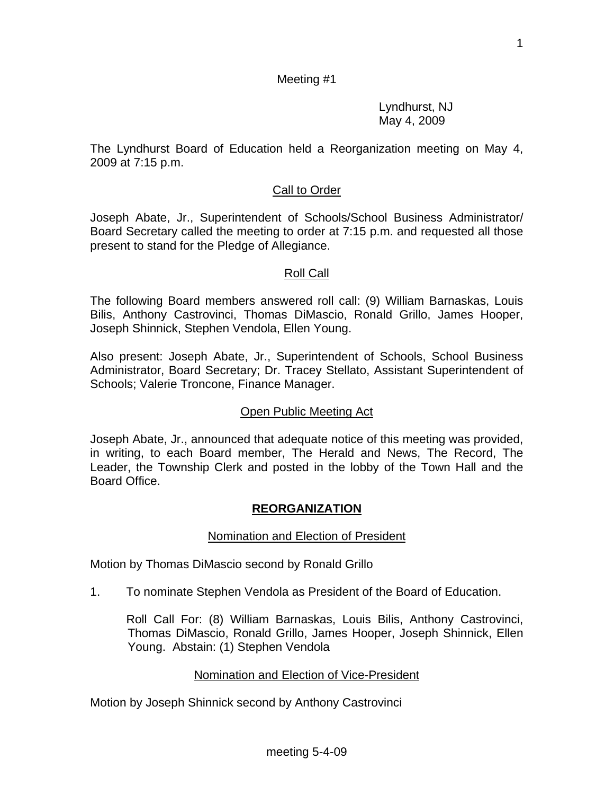1

# Meeting #1

 Lyndhurst, NJ May 4, 2009

The Lyndhurst Board of Education held a Reorganization meeting on May 4, 2009 at 7:15 p.m.

# Call to Order

Joseph Abate, Jr., Superintendent of Schools/School Business Administrator/ Board Secretary called the meeting to order at 7:15 p.m. and requested all those present to stand for the Pledge of Allegiance.

## Roll Call

The following Board members answered roll call: (9) William Barnaskas, Louis Bilis, Anthony Castrovinci, Thomas DiMascio, Ronald Grillo, James Hooper, Joseph Shinnick, Stephen Vendola, Ellen Young.

Also present: Joseph Abate, Jr., Superintendent of Schools, School Business Administrator, Board Secretary; Dr. Tracey Stellato, Assistant Superintendent of Schools; Valerie Troncone, Finance Manager.

## Open Public Meeting Act

Joseph Abate, Jr., announced that adequate notice of this meeting was provided, in writing, to each Board member, The Herald and News, The Record, The Leader, the Township Clerk and posted in the lobby of the Town Hall and the Board Office.

## **REORGANIZATION**

### Nomination and Election of President

Motion by Thomas DiMascio second by Ronald Grillo

1. To nominate Stephen Vendola as President of the Board of Education.

Roll Call For: (8) William Barnaskas, Louis Bilis, Anthony Castrovinci, Thomas DiMascio, Ronald Grillo, James Hooper, Joseph Shinnick, Ellen Young. Abstain: (1) Stephen Vendola

## Nomination and Election of Vice-President

Motion by Joseph Shinnick second by Anthony Castrovinci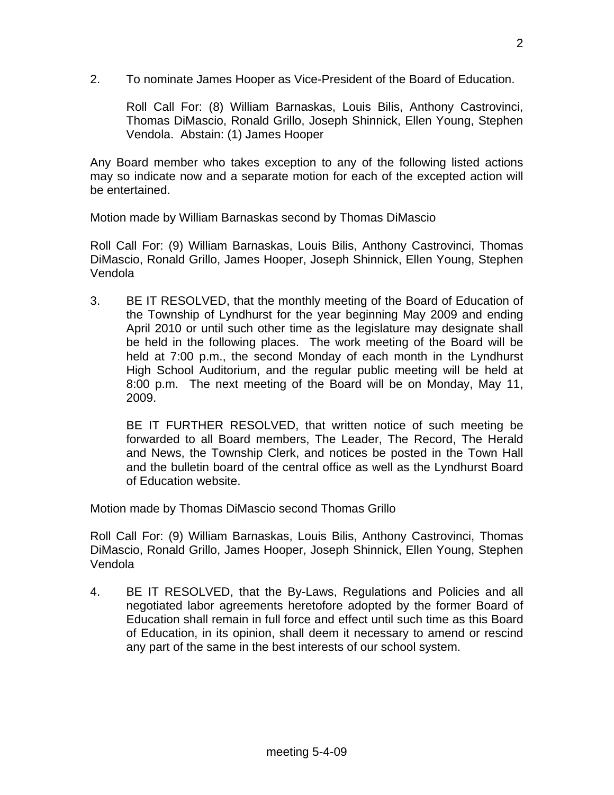2. To nominate James Hooper as Vice-President of the Board of Education.

Roll Call For: (8) William Barnaskas, Louis Bilis, Anthony Castrovinci, Thomas DiMascio, Ronald Grillo, Joseph Shinnick, Ellen Young, Stephen Vendola. Abstain: (1) James Hooper

Any Board member who takes exception to any of the following listed actions may so indicate now and a separate motion for each of the excepted action will be entertained.

Motion made by William Barnaskas second by Thomas DiMascio

Roll Call For: (9) William Barnaskas, Louis Bilis, Anthony Castrovinci, Thomas DiMascio, Ronald Grillo, James Hooper, Joseph Shinnick, Ellen Young, Stephen Vendola

3. BE IT RESOLVED, that the monthly meeting of the Board of Education of the Township of Lyndhurst for the year beginning May 2009 and ending April 2010 or until such other time as the legislature may designate shall be held in the following places. The work meeting of the Board will be held at 7:00 p.m., the second Monday of each month in the Lyndhurst High School Auditorium, and the regular public meeting will be held at 8:00 p.m. The next meeting of the Board will be on Monday, May 11, 2009.

BE IT FURTHER RESOLVED, that written notice of such meeting be forwarded to all Board members, The Leader, The Record, The Herald and News, the Township Clerk, and notices be posted in the Town Hall and the bulletin board of the central office as well as the Lyndhurst Board of Education website.

Motion made by Thomas DiMascio second Thomas Grillo

Roll Call For: (9) William Barnaskas, Louis Bilis, Anthony Castrovinci, Thomas DiMascio, Ronald Grillo, James Hooper, Joseph Shinnick, Ellen Young, Stephen Vendola

4. BE IT RESOLVED, that the By-Laws, Regulations and Policies and all negotiated labor agreements heretofore adopted by the former Board of Education shall remain in full force and effect until such time as this Board of Education, in its opinion, shall deem it necessary to amend or rescind any part of the same in the best interests of our school system.